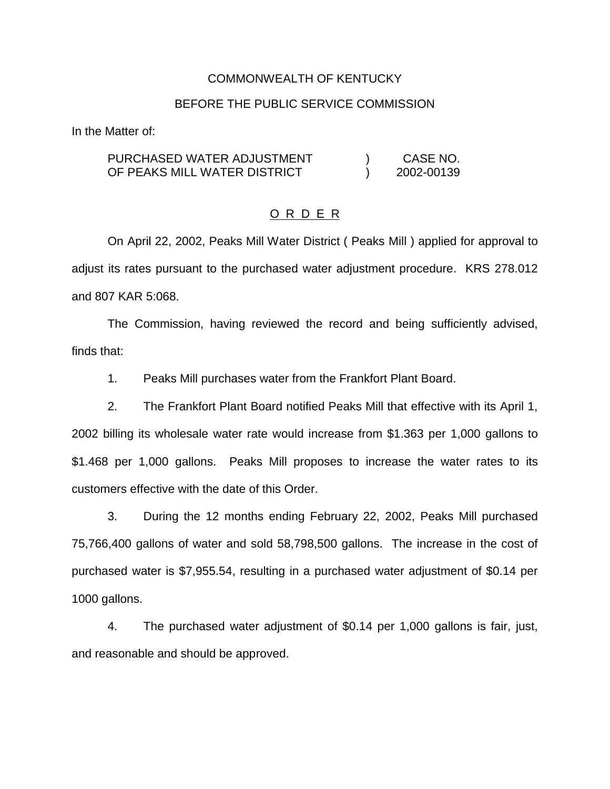### COMMONWEALTH OF KENTUCKY

#### BEFORE THE PUBLIC SERVICE COMMISSION

In the Matter of:

#### PURCHASED WATER ADJUSTMENT OF PEAKS MILL WATER DISTRICT ) CASE NO. ) 2002-00139

# O R D E R

On April 22, 2002, Peaks Mill Water District ( Peaks Mill ) applied for approval to adjust its rates pursuant to the purchased water adjustment procedure. KRS 278.012 and 807 KAR 5:068.

The Commission, having reviewed the record and being sufficiently advised, finds that:

1. Peaks Mill purchases water from the Frankfort Plant Board.

2. The Frankfort Plant Board notified Peaks Mill that effective with its April 1, 2002 billing its wholesale water rate would increase from \$1.363 per 1,000 gallons to \$1.468 per 1,000 gallons. Peaks Mill proposes to increase the water rates to its customers effective with the date of this Order.

3. During the 12 months ending February 22, 2002, Peaks Mill purchased 75,766,400 gallons of water and sold 58,798,500 gallons. The increase in the cost of purchased water is \$7,955.54, resulting in a purchased water adjustment of \$0.14 per 1000 gallons.

4. The purchased water adjustment of \$0.14 per 1,000 gallons is fair, just, and reasonable and should be approved.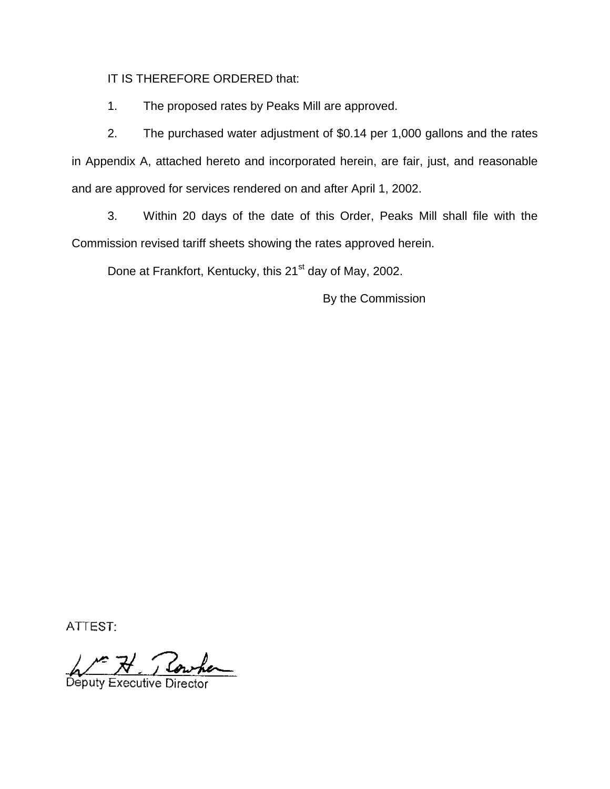IT IS THEREFORE ORDERED that:

1. The proposed rates by Peaks Mill are approved.

2. The purchased water adjustment of \$0.14 per 1,000 gallons and the rates in Appendix A, attached hereto and incorporated herein, are fair, just, and reasonable and are approved for services rendered on and after April 1, 2002.

3. Within 20 days of the date of this Order, Peaks Mill shall file with the Commission revised tariff sheets showing the rates approved herein.

Done at Frankfort, Kentucky, this 21<sup>st</sup> day of May, 2002.

By the Commission

ATTEST:

Deputy Executive Director